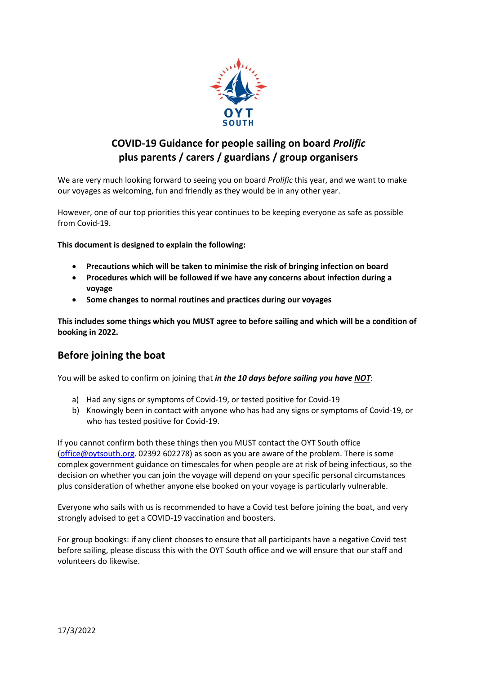

# **COVID-19 Guidance for people sailing on board** *Prolific* **plus parents / carers / guardians / group organisers**

We are very much looking forward to seeing you on board *Prolific* this year, and we want to make our voyages as welcoming, fun and friendly as they would be in any other year.

However, one of our top priorities this year continues to be keeping everyone as safe as possible from Covid-19.

**This document is designed to explain the following:**

- **Precautions which will be taken to minimise the risk of bringing infection on board**
- **Procedures which will be followed if we have any concerns about infection during a voyage**
- **Some changes to normal routines and practices during our voyages**

**This includes some things which you MUST agree to before sailing and which will be a condition of booking in 2022.**

### **Before joining the boat**

You will be asked to confirm on joining that *in the 10 days before sailing you have NOT*:

- a) Had any signs or symptoms of Covid-19, or tested positive for Covid-19
- b) Knowingly been in contact with anyone who has had any signs or symptoms of Covid-19, or who has tested positive for Covid-19.

If you cannot confirm both these things then you MUST contact the OYT South office [\(office@oytsouth.org.](mailto:office@oytsouth.org) 02392 602278) as soon as you are aware of the problem. There is some complex government guidance on timescales for when people are at risk of being infectious, so the decision on whether you can join the voyage will depend on your specific personal circumstances plus consideration of whether anyone else booked on your voyage is particularly vulnerable.

Everyone who sails with us is recommended to have a Covid test before joining the boat, and very strongly advised to get a COVID-19 vaccination and boosters.

For group bookings: if any client chooses to ensure that all participants have a negative Covid test before sailing, please discuss this with the OYT South office and we will ensure that our staff and volunteers do likewise.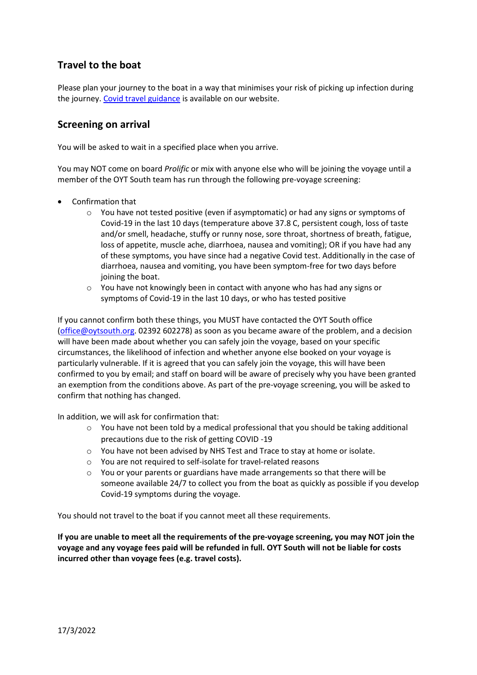## **Travel to the boat**

Please plan your journey to the boat in a way that minimises your risk of picking up infection during the journey. [Covid travel guidance](http://www.oytsouth.org/covid_travel.asp) is available on our website.

### **Screening on arrival**

You will be asked to wait in a specified place when you arrive.

You may NOT come on board *Prolific* or mix with anyone else who will be joining the voyage until a member of the OYT South team has run through the following pre-voyage screening:

- Confirmation that
	- o You have not tested positive (even if asymptomatic) or had any signs or symptoms of Covid-19 in the last 10 days (temperature above 37.8 C, persistent cough, loss of taste and/or smell, headache, stuffy or runny nose, sore throat, shortness of breath, fatigue, loss of appetite, muscle ache, diarrhoea, nausea and vomiting); OR if you have had any of these symptoms, you have since had a negative Covid test. Additionally in the case of diarrhoea, nausea and vomiting, you have been symptom-free for two days before joining the boat.
	- $\circ$  You have not knowingly been in contact with anyone who has had any signs or symptoms of Covid-19 in the last 10 days, or who has tested positive

If you cannot confirm both these things, you MUST have contacted the OYT South office [\(office@oytsouth.org.](mailto:office@oytsouth.org) 02392 602278) as soon as you became aware of the problem, and a decision will have been made about whether you can safely join the voyage, based on your specific circumstances, the likelihood of infection and whether anyone else booked on your voyage is particularly vulnerable. If it is agreed that you can safely join the voyage, this will have been confirmed to you by email; and staff on board will be aware of precisely why you have been granted an exemption from the conditions above. As part of the pre-voyage screening, you will be asked to confirm that nothing has changed.

In addition, we will ask for confirmation that:

- $\circ$  You have not been told by a medical professional that you should be taking additional precautions due to the risk of getting COVID -19
- o You have not been advised by NHS Test and Trace to stay at home or isolate.
- o You are not required to self-isolate for travel-related reasons
- o You or your parents or guardians have made arrangements so that there will be someone available 24/7 to collect you from the boat as quickly as possible if you develop Covid-19 symptoms during the voyage.

You should not travel to the boat if you cannot meet all these requirements.

**If you are unable to meet all the requirements of the pre-voyage screening, you may NOT join the voyage and any voyage fees paid will be refunded in full. OYT South will not be liable for costs incurred other than voyage fees (e.g. travel costs).**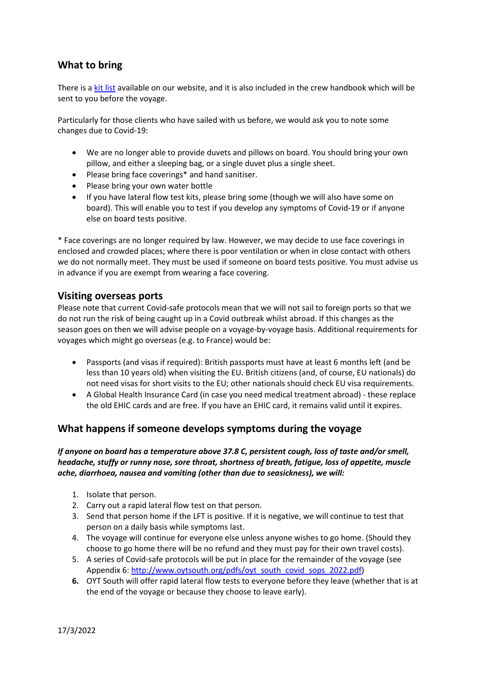### **What to bring**

There is [a kit list](http://www.oytsouth.org/how-to-sail-with-us/what-to-bring.asp) available on our website, and it is also included in the crew handbook which will be sent to you before the voyage.

Particularly for those clients who have sailed with us before, we would ask you to note some changes due to Covid-19:

- We are no longer able to provide duvets and pillows on board. You should bring your own pillow, and either a sleeping bag, or a single duvet plus a single sheet.
- Please bring face coverings\* and hand sanitiser.
- Please bring your own water bottle
- If you have lateral flow test kits, please bring some (though we will also have some on board). This will enable you to test if you develop any symptoms of Covid-19 or if anyone else on board tests positive.

\* Face coverings are no longer required by law. However, we may decide to use face coverings in enclosed and crowded places; where there is poor ventilation or when in close contact with others we do not normally meet. They must be used if someone on board tests positive. You must advise us in advance if you are exempt from wearing a face covering.

#### **Visiting overseas ports**

Please note that current Covid-safe protocols mean that we will not sail to foreign ports so that we do not run the risk of being caught up in a Covid outbreak whilst abroad. If this changes as the season goes on then we will advise people on a voyage-by-voyage basis. Additional requirements for voyages which might go overseas (e.g. to France) would be:

- Passports (and visas if required): British passports must have at least 6 months left (and be less than 10 years old) when visiting the EU. British citizens (and, of course, EU nationals) do not need visas for short visits to the EU; other nationals should check EU visa requirements.
- A Global Health Insurance Card (in case you need medical treatment abroad) these replace the old EHIC cards and are free. If you have an EHIC card, it remains valid until it expires.

#### **What happens if someone develops symptoms during the voyage**

*If anyone on board has a temperature above 37.8 C, persistent cough, loss of taste and/or smell, headache, stuffy or runny nose, sore throat, shortness of breath, fatigue, loss of appetite, muscle ache, diarrhoea, nausea and vomiting (other than due to seasickness), we will:*

- 1. Isolate that person.
- 2. Carry out a rapid lateral flow test on that person.
- 3. Send that person home if the LFT is positive. If it is negative, we will continue to test that person on a daily basis while symptoms last.
- 4. The voyage will continue for everyone else unless anyone wishes to go home. (Should they choose to go home there will be no refund and they must pay for their own travel costs).
- 5. A series of Covid-safe protocols will be put in place for the remainder of the voyage (see Appendix 6: [http://www.oytsouth.org/pdfs/oyt\\_south\\_covid\\_sops\\_2022.pdf\)](http://www.oytsouth.org/pdfs/oyt_south_covid_sops_2022.pdf)
- **6.** OYT South will offer rapid lateral flow tests to everyone before they leave (whether that is at the end of the voyage or because they choose to leave early).